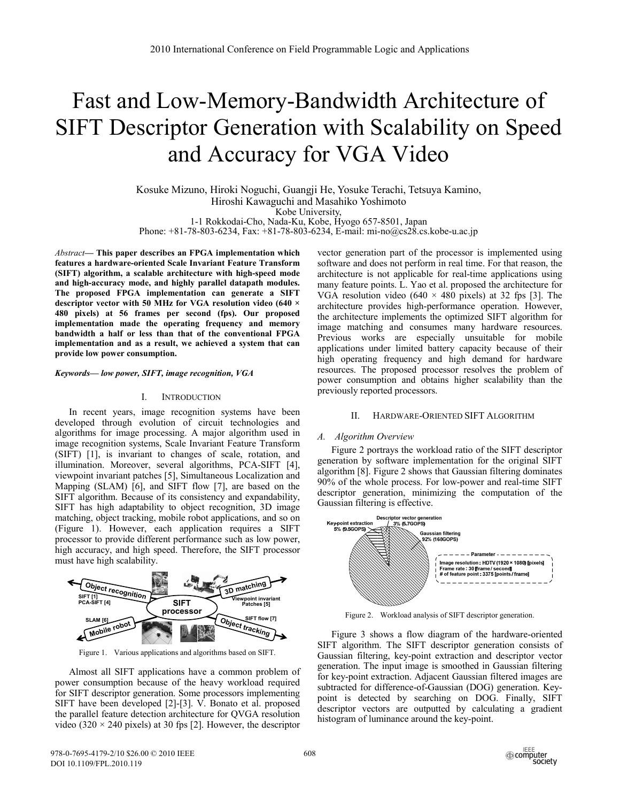# Fast and Low-Memory-Bandwidth Architecture of SIFT Descriptor Generation with Scalability on Speed and Accuracy for VGA Video

Kosuke Mizuno, Hiroki Noguchi, Guangji He, Yosuke Terachi, Tetsuya Kamino, Hiroshi Kawaguchi and Masahiko Yoshimoto Kobe University, 1-1 Rokkodai-Cho, Nada-Ku, Kobe, Hyogo 657-8501, Japan

Phone: +81-78-803-6234, Fax: +81-78-803-6234, E-mail: mi-no@cs28.cs.kobe-u.ac.jp

*Abstract***— This paper describes an FPGA implementation which features a hardware-oriented Scale Invariant Feature Transform (SIFT) algorithm, a scalable architecture with high-speed mode and high-accuracy mode, and highly parallel datapath modules. The proposed FPGA implementation can generate a SIFT descriptor vector with 50 MHz for VGA resolution video (640 × 480 pixels) at 56 frames per second (fps). Our proposed implementation made the operating frequency and memory bandwidth a half or less than that of the conventional FPGA implementation and as a result, we achieved a system that can provide low power consumption.** 

### *Keywords–– low power, SIFT, image recognition, VGA*

#### I. INTRODUCTION

In recent years, image recognition systems have been developed through evolution of circuit technologies and algorithms for image processing. A major algorithm used in image recognition systems, Scale Invariant Feature Transform (SIFT) [1], is invariant to changes of scale, rotation, and illumination. Moreover, several algorithms, PCA-SIFT [4], viewpoint invariant patches [5], Simultaneous Localization and Mapping (SLAM) [6], and SIFT flow [7], are based on the SIFT algorithm. Because of its consistency and expandability, SIFT has high adaptability to object recognition, 3D image matching, object tracking, mobile robot applications, and so on (Figure 1). However, each application requires a SIFT processor to provide different performance such as low power, high accuracy, and high speed. Therefore, the SIFT processor must have high scalability.



Figure 1. Various applications and algorithms based on SIFT.

Almost all SIFT applications have a common problem of power consumption because of the heavy workload required for SIFT descriptor generation. Some processors implementing SIFT have been developed [2]-[3]. V. Bonato et al. proposed the parallel feature detection architecture for QVGA resolution video (320  $\times$  240 pixels) at 30 fps [2]. However, the descriptor vector generation part of the processor is implemented using software and does not perform in real time. For that reason, the architecture is not applicable for real-time applications using many feature points. L. Yao et al. proposed the architecture for VGA resolution video (640  $\times$  480 pixels) at 32 fps [3]. The architecture provides high-performance operation. However, the architecture implements the optimized SIFT algorithm for image matching and consumes many hardware resources. Previous works are especially unsuitable for mobile applications under limited battery capacity because of their high operating frequency and high demand for hardware resources. The proposed processor resolves the problem of power consumption and obtains higher scalability than the previously reported processors.

## II. HARDWARE-ORIENTED SIFT ALGORITHM

#### *A. Algorithm Overview*

Figure 2 portrays the workload ratio of the SIFT descriptor generation by software implementation for the original SIFT algorithm [8]. Figure 2 shows that Gaussian filtering dominates 90% of the whole process. For low-power and real-time SIFT descriptor generation, minimizing the computation of the Gaussian filtering is effective.



Figure 2. Workload analysis of SIFT descriptor generation.

Figure 3 shows a flow diagram of the hardware-oriented SIFT algorithm. The SIFT descriptor generation consists of Gaussian filtering, key-point extraction and descriptor vector generation. The input image is smoothed in Gaussian filtering for key-point extraction. Adjacent Gaussian filtered images are subtracted for difference-of-Gaussian (DOG) generation. Keypoint is detected by searching on DOG. Finally, SIFT descriptor vectors are outputted by calculating a gradient histogram of luminance around the key-point.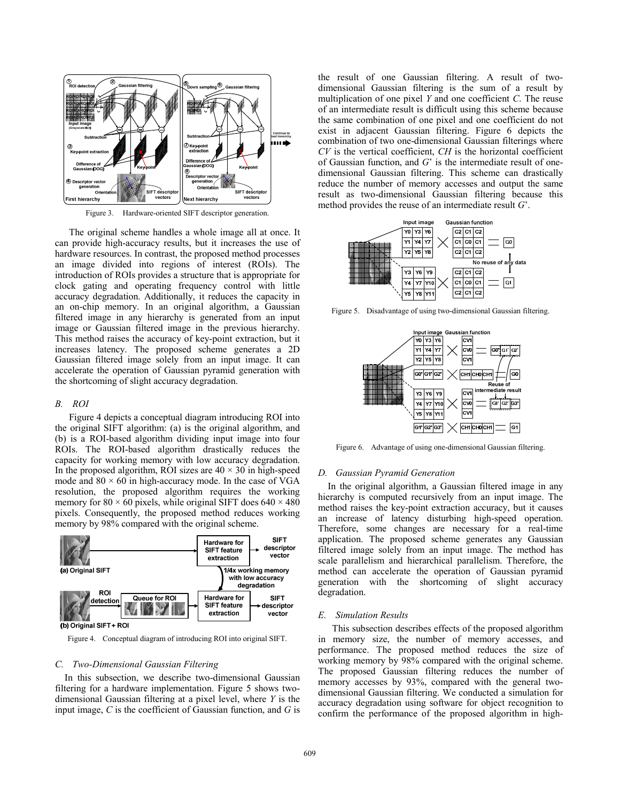

Figure 3. Hardware-oriented SIFT descriptor generation.

The original scheme handles a whole image all at once. It can provide high-accuracy results, but it increases the use of hardware resources. In contrast, the proposed method processes an image divided into regions of interest (ROIs). The introduction of ROIs provides a structure that is appropriate for clock gating and operating frequency control with little accuracy degradation. Additionally, it reduces the capacity in an on-chip memory. In an original algorithm, a Gaussian filtered image in any hierarchy is generated from an input image or Gaussian filtered image in the previous hierarchy. This method raises the accuracy of key-point extraction, but it increases latency. The proposed scheme generates a 2D Gaussian filtered image solely from an input image. It can accelerate the operation of Gaussian pyramid generation with the shortcoming of slight accuracy degradation.

# *B. ROI*

Figure 4 depicts a conceptual diagram introducing ROI into the original SIFT algorithm: (a) is the original algorithm, and (b) is a ROI-based algorithm dividing input image into four ROIs. The ROI-based algorithm drastically reduces the capacity for working memory with low accuracy degradation. In the proposed algorithm, ROI sizes are  $40 \times 30$  in high-speed mode and  $80 \times 60$  in high-accuracy mode. In the case of VGA resolution, the proposed algorithm requires the working memory for 80  $\times$  60 pixels, while original SIFT does 640  $\times$  480 pixels. Consequently, the proposed method reduces working memory by 98% compared with the original scheme.



Figure 4. Conceptual diagram of introducing ROI into original SIFT.

### *C. Two-Dimensional Gaussian Filtering*

In this subsection, we describe two-dimensional Gaussian filtering for a hardware implementation. Figure 5 shows twodimensional Gaussian filtering at a pixel level, where *Y* is the input image, *C* is the coefficient of Gaussian function, and *G* is the result of one Gaussian filtering. A result of twodimensional Gaussian filtering is the sum of a result by multiplication of one pixel *Y* and one coefficient *C*. The reuse of an intermediate result is difficult using this scheme because the same combination of one pixel and one coefficient do not exist in adjacent Gaussian filtering. Figure 6 depicts the combination of two one-dimensional Gaussian filterings where *CV* is the vertical coefficient, *CH* is the horizontal coefficient of Gaussian function, and *G*' is the intermediate result of onedimensional Gaussian filtering. This scheme can drastically reduce the number of memory accesses and output the same result as two-dimensional Gaussian filtering because this method provides the reuse of an intermediate result *G*'.



Figure 5. Disadvantage of using two-dimensional Gaussian filtering.



Figure 6. Advantage of using one-dimensional Gaussian filtering.

# *D. Gaussian Pyramid Generation*

In the original algorithm, a Gaussian filtered image in any hierarchy is computed recursively from an input image. The method raises the key-point extraction accuracy, but it causes an increase of latency disturbing high-speed operation. Therefore, some changes are necessary for a real-time application. The proposed scheme generates any Gaussian filtered image solely from an input image. The method has scale parallelism and hierarchical parallelism. Therefore, the method can accelerate the operation of Gaussian pyramid generation with the shortcoming of slight accuracy degradation.

### *E. Simulation Results*

This subsection describes effects of the proposed algorithm in memory size, the number of memory accesses, and performance. The proposed method reduces the size of working memory by 98% compared with the original scheme. The proposed Gaussian filtering reduces the number of memory accesses by 93%, compared with the general twodimensional Gaussian filtering. We conducted a simulation for accuracy degradation using software for object recognition to confirm the performance of the proposed algorithm in high-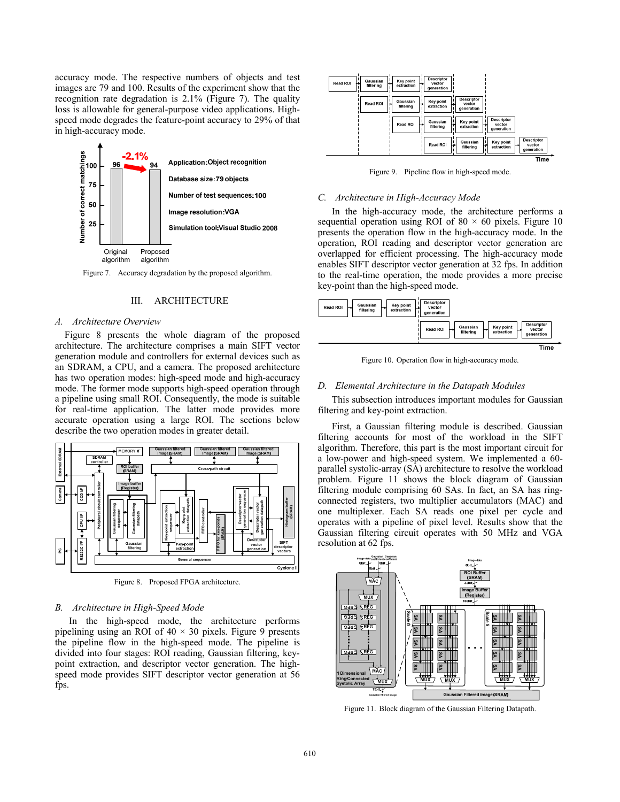accuracy mode. The respective numbers of objects and test images are 79 and 100. Results of the experiment show that the recognition rate degradation is 2.1% (Figure 7). The quality loss is allowable for general-purpose video applications. Highspeed mode degrades the feature-point accuracy to 29% of that in high-accuracy mode.



Figure 7. Accuracy degradation by the proposed algorithm.

# III. ARCHITECTURE

## *A. Architecture Overview*

Figure 8 presents the whole diagram of the proposed architecture. The architecture comprises a main SIFT vector generation module and controllers for external devices such as an SDRAM, a CPU, and a camera. The proposed architecture has two operation modes: high-speed mode and high-accuracy mode. The former mode supports high-speed operation through a pipeline using small ROI. Consequently, the mode is suitable for real-time application. The latter mode provides more accurate operation using a large ROI. The sections below describe the two operation modes in greater detail.



Figure 8. Proposed FPGA architecture.

# *B. Architecture in High-Speed Mode*

In the high-speed mode, the architecture performs pipelining using an ROI of  $40 \times 30$  pixels. Figure 9 presents the pipeline flow in the high-speed mode. The pipeline is divided into four stages: ROI reading, Gaussian filtering, keypoint extraction, and descriptor vector generation. The highspeed mode provides SIFT descriptor vector generation at 56 fps.

| Key point<br>Gaussian<br><b>Read ROI</b><br>extraction<br>filtering | <b>Descriptor</b><br>vector<br>generation                                                                        |
|---------------------------------------------------------------------|------------------------------------------------------------------------------------------------------------------|
| Gaussian<br><b>Read ROI</b><br>filterina                            | <b>Descriptor</b><br>Key point<br>vector<br>extraction<br>generation                                             |
| <b>Read ROI</b>                                                     | <b>Descriptor</b><br>Key point<br>Gaussian<br>vector<br>filtering<br>extraction<br>generation                    |
|                                                                     | <b>Descriptor</b><br>Key point<br>Gaussian<br><b>Read ROI</b><br>vector<br>extraction<br>filtering<br>generation |
|                                                                     | Time                                                                                                             |

Figure 9. Pipeline flow in high-speed mode.

#### *C. Architecture in High-Accuracy Mode*

In the high-accuracy mode, the architecture performs a sequential operation using ROI of  $80 \times 60$  pixels. Figure 10 presents the operation flow in the high-accuracy mode. In the operation, ROI reading and descriptor vector generation are overlapped for efficient processing. The high-accuracy mode enables SIFT descriptor vector generation at 32 fps. In addition to the real-time operation, the mode provides a more precise key-point than the high-speed mode.



Figure 10. Operation flow in high-accuracy mode.

## *D. Elemental Architecture in the Datapath Modules*

This subsection introduces important modules for Gaussian filtering and key-point extraction.

First, a Gaussian filtering module is described. Gaussian filtering accounts for most of the workload in the SIFT algorithm. Therefore, this part is the most important circuit for a low-power and high-speed system. We implemented a 60 parallel systolic-array (SA) architecture to resolve the workload problem. Figure 11 shows the block diagram of Gaussian filtering module comprising 60 SAs. In fact, an SA has ringconnected registers, two multiplier accumulators (MAC) and one multiplexer. Each SA reads one pixel per cycle and operates with a pipeline of pixel level. Results show that the Gaussian filtering circuit operates with 50 MHz and VGA resolution at 62 fps.



Figure 11. Block diagram of the Gaussian Filtering Datapath.